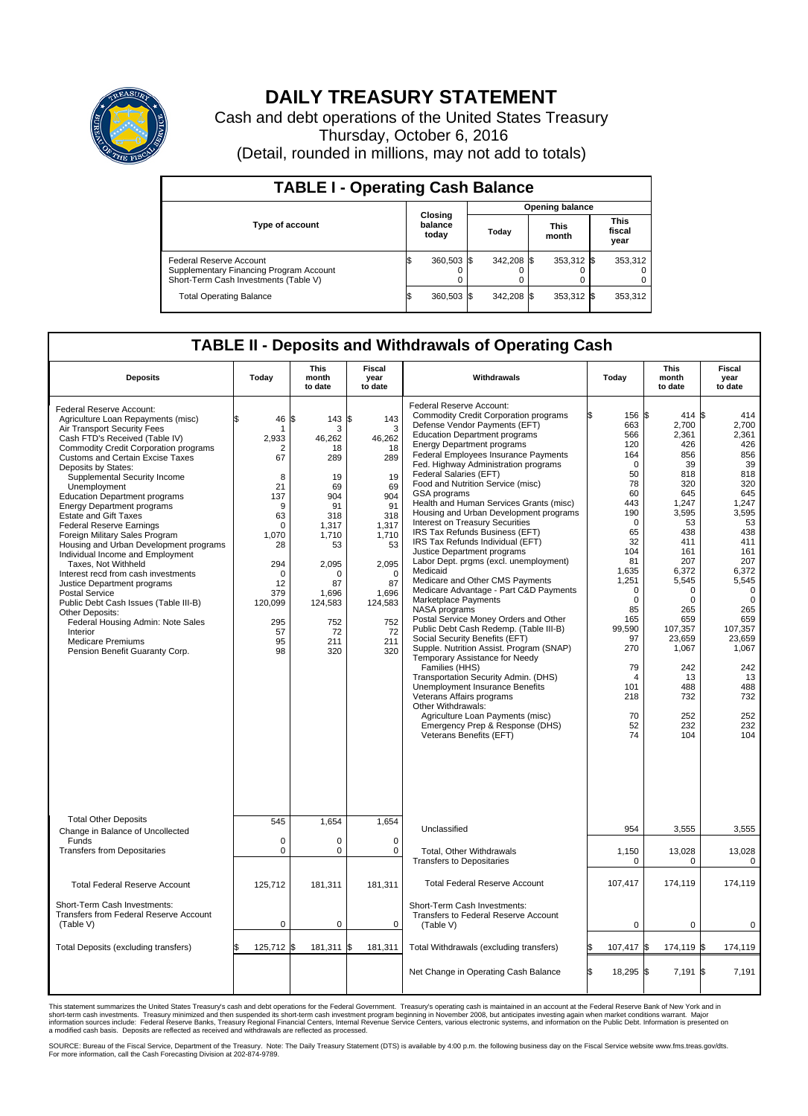

## **DAILY TREASURY STATEMENT**

Cash and debt operations of the United States Treasury Thursday, October 6, 2016 (Detail, rounded in millions, may not add to totals)

| <b>TABLE I - Operating Cash Balance</b>                                                                     |     |                             |                        |            |  |                      |  |                               |  |
|-------------------------------------------------------------------------------------------------------------|-----|-----------------------------|------------------------|------------|--|----------------------|--|-------------------------------|--|
|                                                                                                             |     |                             | <b>Opening balance</b> |            |  |                      |  |                               |  |
| <b>Type of account</b>                                                                                      |     | Closing<br>balance<br>today |                        | Today      |  | <b>This</b><br>month |  | <b>This</b><br>fiscal<br>year |  |
| Federal Reserve Account<br>Supplementary Financing Program Account<br>Short-Term Cash Investments (Table V) |     | 360,503 \$                  |                        | 342.208 \$ |  | 353,312 \$           |  | 353,312                       |  |
| <b>Total Operating Balance</b>                                                                              | I\$ | 360,503 \$                  |                        | 342,208 \$ |  | 353,312 \$           |  | 353,312                       |  |

## **TABLE II - Deposits and Withdrawals of Operating Cash**

| <b>Deposits</b>                                                                                                                                                                                                                                                                                                                                                                                                                                                                                                                                                                                                                                                                                                                                                                                                                                                    | Today                                                                                                                                                       | <b>This</b><br>month<br>to date                                                                                                                                          | Fiscal<br>year<br>to date                                                                                                                                               | Withdrawals                                                                                                                                                                                                                                                                                                                                                                                                                                                                                                                                                                                                                                                                                                                                                                                                                                                                                                                                                                                                                                                                                                                                                                                                         | Today                                                                                                                                                                                                                                                           | <b>This</b><br>month<br>to date                                                                                                                                                                                                                                     | Fiscal<br>year<br>to date                                                                                                                                                                                                                                      |
|--------------------------------------------------------------------------------------------------------------------------------------------------------------------------------------------------------------------------------------------------------------------------------------------------------------------------------------------------------------------------------------------------------------------------------------------------------------------------------------------------------------------------------------------------------------------------------------------------------------------------------------------------------------------------------------------------------------------------------------------------------------------------------------------------------------------------------------------------------------------|-------------------------------------------------------------------------------------------------------------------------------------------------------------|--------------------------------------------------------------------------------------------------------------------------------------------------------------------------|-------------------------------------------------------------------------------------------------------------------------------------------------------------------------|---------------------------------------------------------------------------------------------------------------------------------------------------------------------------------------------------------------------------------------------------------------------------------------------------------------------------------------------------------------------------------------------------------------------------------------------------------------------------------------------------------------------------------------------------------------------------------------------------------------------------------------------------------------------------------------------------------------------------------------------------------------------------------------------------------------------------------------------------------------------------------------------------------------------------------------------------------------------------------------------------------------------------------------------------------------------------------------------------------------------------------------------------------------------------------------------------------------------|-----------------------------------------------------------------------------------------------------------------------------------------------------------------------------------------------------------------------------------------------------------------|---------------------------------------------------------------------------------------------------------------------------------------------------------------------------------------------------------------------------------------------------------------------|----------------------------------------------------------------------------------------------------------------------------------------------------------------------------------------------------------------------------------------------------------------|
| Federal Reserve Account:<br>Agriculture Loan Repayments (misc)<br>Air Transport Security Fees<br>Cash FTD's Received (Table IV)<br><b>Commodity Credit Corporation programs</b><br><b>Customs and Certain Excise Taxes</b><br>Deposits by States:<br>Supplemental Security Income<br>Unemployment<br><b>Education Department programs</b><br><b>Energy Department programs</b><br><b>Estate and Gift Taxes</b><br><b>Federal Reserve Earnings</b><br>Foreign Military Sales Program<br>Housing and Urban Development programs<br>Individual Income and Employment<br>Taxes, Not Withheld<br>Interest recd from cash investments<br>Justice Department programs<br><b>Postal Service</b><br>Public Debt Cash Issues (Table III-B)<br>Other Deposits:<br>Federal Housing Admin: Note Sales<br>Interior<br><b>Medicare Premiums</b><br>Pension Benefit Guaranty Corp. | 46<br>-1<br>2,933<br>2<br>67<br>8<br>21<br>137<br>9<br>63<br>$\Omega$<br>1,070<br>28<br>294<br>$\mathbf 0$<br>12<br>379<br>120,099<br>295<br>57<br>95<br>98 | l\$<br>143<br>3<br>46,262<br>18<br>289<br>19<br>69<br>904<br>91<br>318<br>1.317<br>1,710<br>53<br>2,095<br>$\Omega$<br>87<br>1.696<br>124,583<br>752<br>72<br>211<br>320 | \$<br>143<br>3<br>46,262<br>18<br>289<br>19<br>69<br>904<br>91<br>318<br>1,317<br>1,710<br>53<br>2,095<br>$\Omega$<br>87<br>1.696<br>124,583<br>752<br>72<br>211<br>320 | Federal Reserve Account:<br><b>Commodity Credit Corporation programs</b><br>Defense Vendor Payments (EFT)<br><b>Education Department programs</b><br><b>Energy Department programs</b><br>Federal Employees Insurance Payments<br>Fed. Highway Administration programs<br>Federal Salaries (EFT)<br>Food and Nutrition Service (misc)<br>GSA programs<br>Health and Human Services Grants (misc)<br>Housing and Urban Development programs<br>Interest on Treasury Securities<br>IRS Tax Refunds Business (EFT)<br>IRS Tax Refunds Individual (EFT)<br>Justice Department programs<br>Labor Dept. prgms (excl. unemployment)<br>Medicaid<br>Medicare and Other CMS Payments<br>Medicare Advantage - Part C&D Payments<br>Marketplace Payments<br>NASA programs<br>Postal Service Money Orders and Other<br>Public Debt Cash Redemp. (Table III-B)<br>Social Security Benefits (EFT)<br>Supple. Nutrition Assist. Program (SNAP)<br>Temporary Assistance for Needy<br>Families (HHS)<br>Transportation Security Admin. (DHS)<br>Unemployment Insurance Benefits<br>Veterans Affairs programs<br>Other Withdrawals:<br>Agriculture Loan Payments (misc)<br>Emergency Prep & Response (DHS)<br>Veterans Benefits (EFT) | 156 \$<br>663<br>566<br>120<br>164<br>$\Omega$<br>50<br>78<br>60<br>443<br>190<br>$\mathbf 0$<br>65<br>32<br>104<br>81<br>1,635<br>1,251<br>$\mathbf 0$<br>$\Omega$<br>85<br>165<br>99.590<br>97<br>270<br>79<br>$\overline{4}$<br>101<br>218<br>70<br>52<br>74 | $414$ \$<br>2,700<br>2,361<br>426<br>856<br>39<br>818<br>320<br>645<br>1,247<br>3,595<br>53<br>438<br>411<br>161<br>207<br>6.372<br>5,545<br>$\mathbf 0$<br>$\mathbf 0$<br>265<br>659<br>107,357<br>23,659<br>1,067<br>242<br>13<br>488<br>732<br>252<br>232<br>104 | 414<br>2,700<br>2,361<br>426<br>856<br>39<br>818<br>320<br>645<br>1,247<br>3,595<br>53<br>438<br>411<br>161<br>207<br>6,372<br>5,545<br>$\mathbf 0$<br>$\mathbf 0$<br>265<br>659<br>107,357<br>23,659<br>1,067<br>242<br>13<br>488<br>732<br>252<br>232<br>104 |
| <b>Total Other Deposits</b><br>Change in Balance of Uncollected                                                                                                                                                                                                                                                                                                                                                                                                                                                                                                                                                                                                                                                                                                                                                                                                    | 545                                                                                                                                                         | 1,654                                                                                                                                                                    | 1.654                                                                                                                                                                   | Unclassified                                                                                                                                                                                                                                                                                                                                                                                                                                                                                                                                                                                                                                                                                                                                                                                                                                                                                                                                                                                                                                                                                                                                                                                                        | 954                                                                                                                                                                                                                                                             | 3,555                                                                                                                                                                                                                                                               | 3,555                                                                                                                                                                                                                                                          |
| Funds<br><b>Transfers from Depositaries</b>                                                                                                                                                                                                                                                                                                                                                                                                                                                                                                                                                                                                                                                                                                                                                                                                                        | $\mathbf 0$<br>$\mathbf 0$                                                                                                                                  | $\mathbf 0$<br>$\mathbf 0$                                                                                                                                               | $\mathbf 0$<br>$\mathbf 0$                                                                                                                                              | Total, Other Withdrawals<br><b>Transfers to Depositaries</b>                                                                                                                                                                                                                                                                                                                                                                                                                                                                                                                                                                                                                                                                                                                                                                                                                                                                                                                                                                                                                                                                                                                                                        | 1,150<br>0                                                                                                                                                                                                                                                      | 13,028<br>0                                                                                                                                                                                                                                                         | 13,028<br>0                                                                                                                                                                                                                                                    |
| <b>Total Federal Reserve Account</b>                                                                                                                                                                                                                                                                                                                                                                                                                                                                                                                                                                                                                                                                                                                                                                                                                               | 125,712                                                                                                                                                     | 181,311                                                                                                                                                                  | 181,311                                                                                                                                                                 | <b>Total Federal Reserve Account</b>                                                                                                                                                                                                                                                                                                                                                                                                                                                                                                                                                                                                                                                                                                                                                                                                                                                                                                                                                                                                                                                                                                                                                                                | 107,417                                                                                                                                                                                                                                                         | 174,119                                                                                                                                                                                                                                                             | 174,119                                                                                                                                                                                                                                                        |
| Short-Term Cash Investments:<br><b>Transfers from Federal Reserve Account</b><br>(Table V)                                                                                                                                                                                                                                                                                                                                                                                                                                                                                                                                                                                                                                                                                                                                                                         | $\pmb{0}$                                                                                                                                                   | $\pmb{0}$                                                                                                                                                                | $\mathbf 0$                                                                                                                                                             | Short-Term Cash Investments:<br>Transfers to Federal Reserve Account<br>(Table V)                                                                                                                                                                                                                                                                                                                                                                                                                                                                                                                                                                                                                                                                                                                                                                                                                                                                                                                                                                                                                                                                                                                                   | $\mathbf 0$                                                                                                                                                                                                                                                     | $\mathbf 0$                                                                                                                                                                                                                                                         | 0                                                                                                                                                                                                                                                              |
| Total Deposits (excluding transfers)                                                                                                                                                                                                                                                                                                                                                                                                                                                                                                                                                                                                                                                                                                                                                                                                                               | 125,712                                                                                                                                                     | 181,311 \$<br>l\$                                                                                                                                                        | 181,311                                                                                                                                                                 | Total Withdrawals (excluding transfers)                                                                                                                                                                                                                                                                                                                                                                                                                                                                                                                                                                                                                                                                                                                                                                                                                                                                                                                                                                                                                                                                                                                                                                             | 107,417 \$                                                                                                                                                                                                                                                      | 174,119 \$                                                                                                                                                                                                                                                          | 174,119                                                                                                                                                                                                                                                        |
|                                                                                                                                                                                                                                                                                                                                                                                                                                                                                                                                                                                                                                                                                                                                                                                                                                                                    |                                                                                                                                                             |                                                                                                                                                                          |                                                                                                                                                                         | Net Change in Operating Cash Balance                                                                                                                                                                                                                                                                                                                                                                                                                                                                                                                                                                                                                                                                                                                                                                                                                                                                                                                                                                                                                                                                                                                                                                                | 18,295 \$<br>ß.                                                                                                                                                                                                                                                 | $7,191$ \$                                                                                                                                                                                                                                                          | 7,191                                                                                                                                                                                                                                                          |

This statement summarizes the United States Treasury's cash and debt operations for the Federal Government. Treasury's operating cash is maintained in an account at the Federal Reserve Bank of New York and in<br>short-term ca

SOURCE: Bureau of the Fiscal Service, Department of the Treasury. Note: The Daily Treasury Statement (DTS) is available by 4:00 p.m. the following business day on the Fiscal Service website www.fms.treas.gov/dts.<br>For more